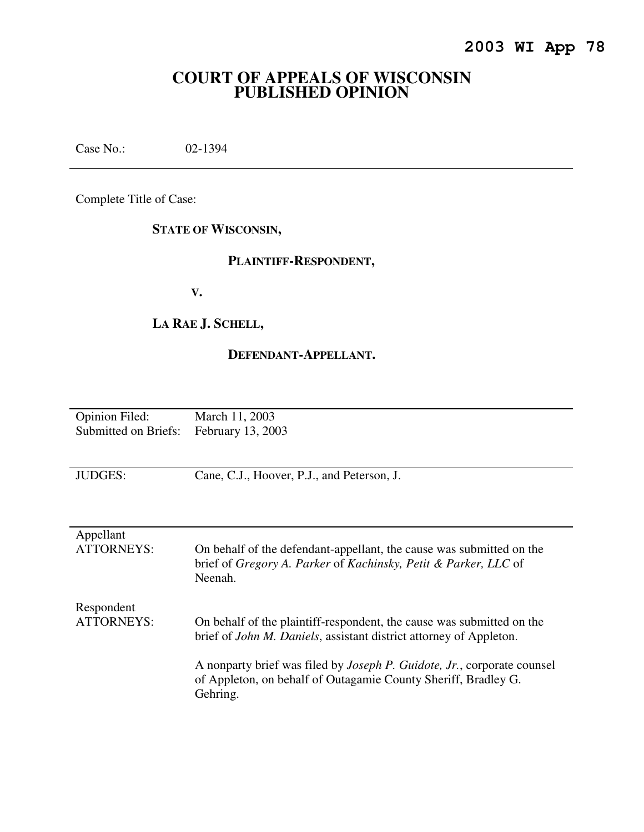# **COURT OF APPEALS OF WISCONSIN PUBLISHED OPINION**

Case No.: 02-1394

Complete Title of Case:

# **STATE OF WISCONSIN,**

## **PLAINTIFF-RESPONDENT,**

 **V.** 

# **LA RAE J. SCHELL,**

## **DEFENDANT-APPELLANT.**

| <b>Opinion Filed:</b>                  | March 11, 2003 |
|----------------------------------------|----------------|
| Submitted on Briefs: February 13, 2003 |                |

JUDGES: Cane, C.J., Hoover, P.J., and Peterson, J.

| Appellant<br><b>ATTORNEYS:</b>  | On behalf of the defendant-appellant, the cause was submitted on the<br>brief of Gregory A. Parker of Kachinsky, Petit & Parker, LLC of<br>Neenah.            |
|---------------------------------|---------------------------------------------------------------------------------------------------------------------------------------------------------------|
| Respondent<br><b>ATTORNEYS:</b> | On behalf of the plaintiff-respondent, the cause was submitted on the<br>brief of <i>John M. Daniels</i> , assistant district attorney of Appleton.           |
|                                 | A nonparty brief was filed by <i>Joseph P. Guidote, Jr.</i> , corporate counsel<br>of Appleton, on behalf of Outagamie County Sheriff, Bradley G.<br>Gehring. |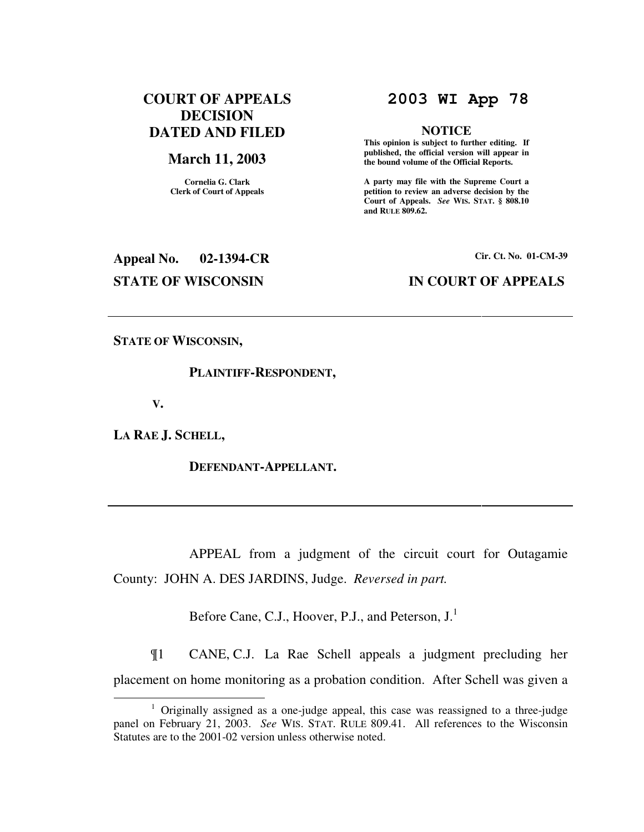# **COURT OF APPEALS DECISION DATED AND FILED**

## **March 11, 2003**

**Cornelia G. Clark Clerk of Court of Appeals**

# **2003 WI App 78**

### **NOTICE**

 **This opinion is subject to further editing. If published, the official version will appear in the bound volume of the Official Reports.** 

**A party may file with the Supreme Court a petition to review an adverse decision by the Court of Appeals.** *See* **WIS. STAT. § 808.10 and RULE 809.62.** 

# **Appeal No. 02-1394-CR Cir. Ct. No. 01-CM-39 STATE OF WISCONSIN IN COURT OF APPEALS**

**STATE OF WISCONSIN,** 

## **PLAINTIFF-RESPONDENT,**

 **V.** 

 $\overline{a}$ 

**LA RAE J. SCHELL,** 

 **DEFENDANT-APPELLANT.** 

 APPEAL from a judgment of the circuit court for Outagamie County: JOHN A. DES JARDINS, Judge. *Reversed in part.*

Before Cane, C.J., Hoover, P.J., and Peterson, J.<sup>1</sup>

¶1 CANE, C.J. La Rae Schell appeals a judgment precluding her placement on home monitoring as a probation condition. After Schell was given a

<sup>&</sup>lt;sup>1</sup> Originally assigned as a one-judge appeal, this case was reassigned to a three-judge panel on February 21, 2003. *See* WIS. STAT. RULE 809.41. All references to the Wisconsin Statutes are to the 2001-02 version unless otherwise noted.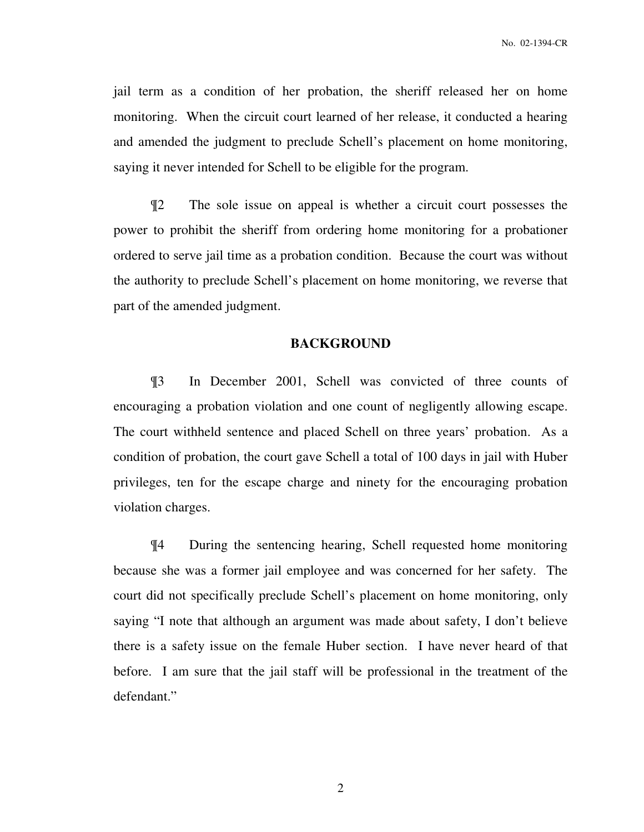jail term as a condition of her probation, the sheriff released her on home monitoring. When the circuit court learned of her release, it conducted a hearing and amended the judgment to preclude Schell's placement on home monitoring, saying it never intended for Schell to be eligible for the program.

¶2 The sole issue on appeal is whether a circuit court possesses the power to prohibit the sheriff from ordering home monitoring for a probationer ordered to serve jail time as a probation condition. Because the court was without the authority to preclude Schell's placement on home monitoring, we reverse that part of the amended judgment.

## **BACKGROUND**

¶3 In December 2001, Schell was convicted of three counts of encouraging a probation violation and one count of negligently allowing escape. The court withheld sentence and placed Schell on three years' probation. As a condition of probation, the court gave Schell a total of 100 days in jail with Huber privileges, ten for the escape charge and ninety for the encouraging probation violation charges.

¶4 During the sentencing hearing, Schell requested home monitoring because she was a former jail employee and was concerned for her safety. The court did not specifically preclude Schell's placement on home monitoring, only saying "I note that although an argument was made about safety, I don't believe there is a safety issue on the female Huber section. I have never heard of that before. I am sure that the jail staff will be professional in the treatment of the defendant."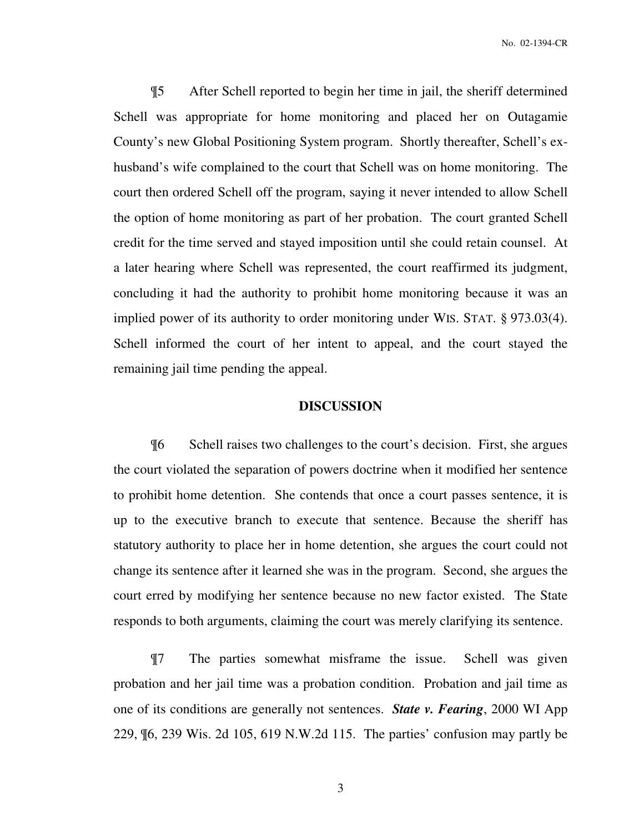¶5 After Schell reported to begin her time in jail, the sheriff determined Schell was appropriate for home monitoring and placed her on Outagamie County's new Global Positioning System program. Shortly thereafter, Schell's exhusband's wife complained to the court that Schell was on home monitoring. The court then ordered Schell off the program, saying it never intended to allow Schell the option of home monitoring as part of her probation. The court granted Schell credit for the time served and stayed imposition until she could retain counsel. At a later hearing where Schell was represented, the court reaffirmed its judgment, concluding it had the authority to prohibit home monitoring because it was an implied power of its authority to order monitoring under WIS. STAT. § 973.03(4). Schell informed the court of her intent to appeal, and the court stayed the remaining jail time pending the appeal.

## **DISCUSSION**

¶6 Schell raises two challenges to the court's decision. First, she argues the court violated the separation of powers doctrine when it modified her sentence to prohibit home detention. She contends that once a court passes sentence, it is up to the executive branch to execute that sentence. Because the sheriff has statutory authority to place her in home detention, she argues the court could not change its sentence after it learned she was in the program. Second, she argues the court erred by modifying her sentence because no new factor existed. The State responds to both arguments, claiming the court was merely clarifying its sentence.

¶7 The parties somewhat misframe the issue. Schell was given probation and her jail time was a probation condition. Probation and jail time as one of its conditions are generally not sentences. *State v. Fearing*, 2000 WI App 229, ¶6, 239 Wis. 2d 105, 619 N.W.2d 115. The parties' confusion may partly be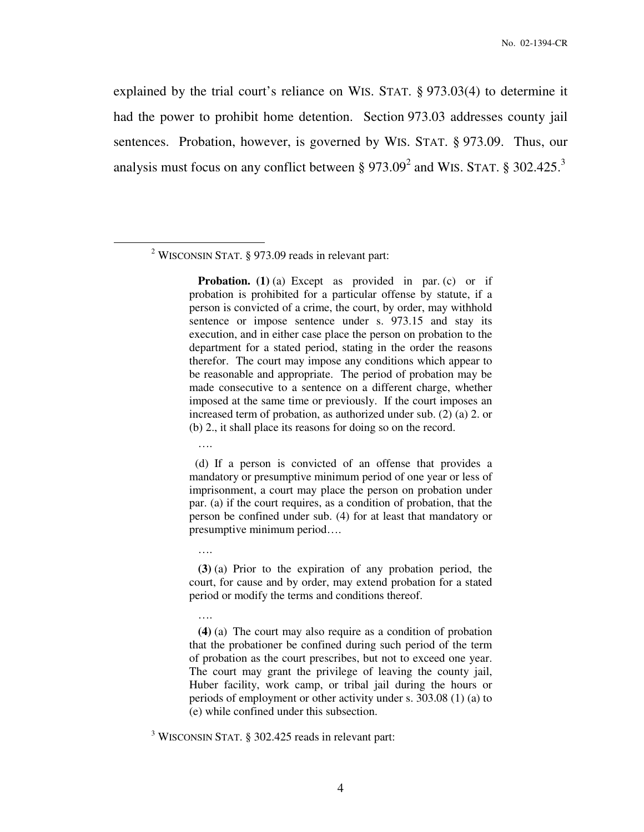explained by the trial court's reliance on WIS. STAT. § 973.03(4) to determine it had the power to prohibit home detention. Section 973.03 addresses county jail sentences. Probation, however, is governed by WIS. STAT. § 973.09. Thus, our analysis must focus on any conflict between  $\S 973.09^2$  and WIS. STAT.  $\S 302.425.^3$ 

<sup>2</sup> WISCONSIN STAT.  $\S$  973.09 reads in relevant part:

**Probation.** (1) (a) Except as provided in par. (c) or if probation is prohibited for a particular offense by statute, if a person is convicted of a crime, the court, by order, may withhold sentence or impose sentence under s. 973.15 and stay its execution, and in either case place the person on probation to the department for a stated period, stating in the order the reasons therefor. The court may impose any conditions which appear to be reasonable and appropriate. The period of probation may be made consecutive to a sentence on a different charge, whether imposed at the same time or previously. If the court imposes an increased term of probation, as authorized under sub. (2) (a) 2. or (b) 2., it shall place its reasons for doing so on the record.

….

….

….

 $\overline{a}$ 

 (d) If a person is convicted of an offense that provides a mandatory or presumptive minimum period of one year or less of imprisonment, a court may place the person on probation under par. (a) if the court requires, as a condition of probation, that the person be confined under sub. (4) for at least that mandatory or presumptive minimum period….

 **(3)** (a) Prior to the expiration of any probation period, the court, for cause and by order, may extend probation for a stated period or modify the terms and conditions thereof.

<sup>3</sup> WISCONSIN STAT. § 302.425 reads in relevant part:

**(4)** (a) The court may also require as a condition of probation that the probationer be confined during such period of the term of probation as the court prescribes, but not to exceed one year. The court may grant the privilege of leaving the county jail, Huber facility, work camp, or tribal jail during the hours or periods of employment or other activity under s. 303.08 (1) (a) to (e) while confined under this subsection.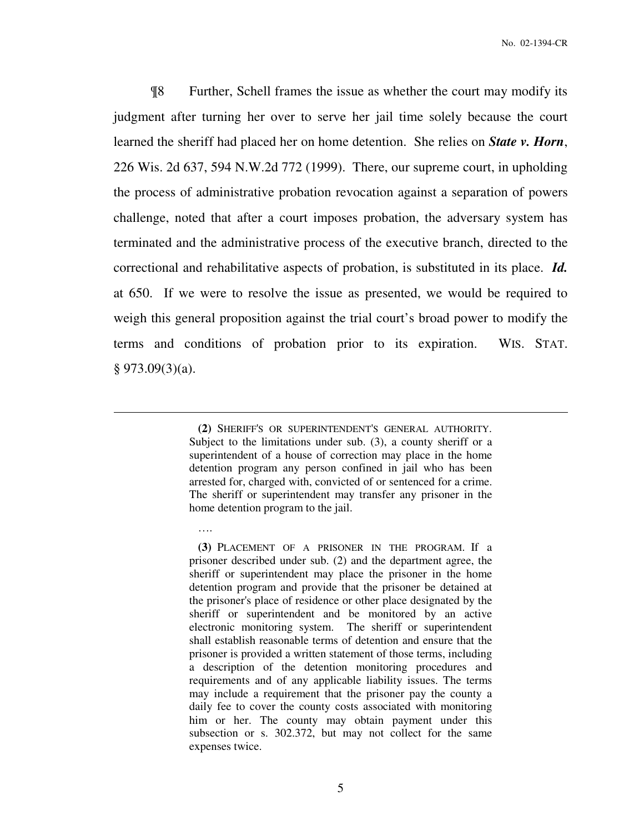¶8 Further, Schell frames the issue as whether the court may modify its judgment after turning her over to serve her jail time solely because the court learned the sheriff had placed her on home detention. She relies on *State v. Horn*, 226 Wis. 2d 637, 594 N.W.2d 772 (1999). There, our supreme court, in upholding the process of administrative probation revocation against a separation of powers challenge, noted that after a court imposes probation, the adversary system has terminated and the administrative process of the executive branch, directed to the correctional and rehabilitative aspects of probation, is substituted in its place. *Id.*  at 650. If we were to resolve the issue as presented, we would be required to weigh this general proposition against the trial court's broad power to modify the terms and conditions of probation prior to its expiration. WIS. STAT.  $§$  973.09(3)(a).

> **(2)** SHERIFF'S OR SUPERINTENDENT'S GENERAL AUTHORITY. Subject to the limitations under sub. (3), a county sheriff or a superintendent of a house of correction may place in the home detention program any person confined in jail who has been arrested for, charged with, convicted of or sentenced for a crime. The sheriff or superintendent may transfer any prisoner in the home detention program to the jail.

 $\overline{a}$ 

….

**(3)** PLACEMENT OF A PRISONER IN THE PROGRAM. If a prisoner described under sub. (2) and the department agree, the sheriff or superintendent may place the prisoner in the home detention program and provide that the prisoner be detained at the prisoner's place of residence or other place designated by the sheriff or superintendent and be monitored by an active electronic monitoring system. The sheriff or superintendent shall establish reasonable terms of detention and ensure that the prisoner is provided a written statement of those terms, including a description of the detention monitoring procedures and requirements and of any applicable liability issues. The terms may include a requirement that the prisoner pay the county a daily fee to cover the county costs associated with monitoring him or her. The county may obtain payment under this subsection or s. 302.372, but may not collect for the same expenses twice.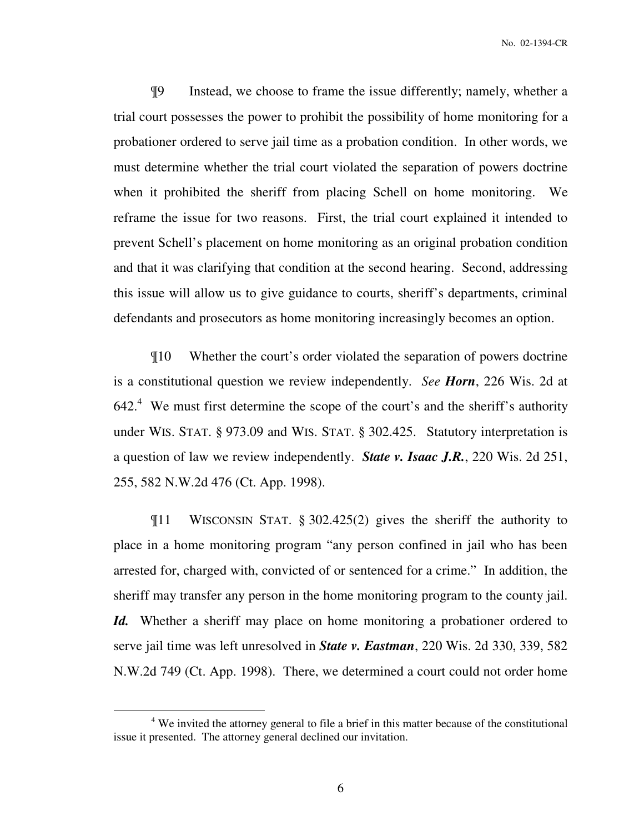¶9 Instead, we choose to frame the issue differently; namely, whether a trial court possesses the power to prohibit the possibility of home monitoring for a probationer ordered to serve jail time as a probation condition. In other words, we must determine whether the trial court violated the separation of powers doctrine when it prohibited the sheriff from placing Schell on home monitoring. We reframe the issue for two reasons. First, the trial court explained it intended to prevent Schell's placement on home monitoring as an original probation condition and that it was clarifying that condition at the second hearing. Second, addressing this issue will allow us to give guidance to courts, sheriff's departments, criminal defendants and prosecutors as home monitoring increasingly becomes an option.

¶10 Whether the court's order violated the separation of powers doctrine is a constitutional question we review independently. *See Horn*, 226 Wis. 2d at  $642<sup>4</sup>$  We must first determine the scope of the court's and the sheriff's authority under WIS. STAT. § 973.09 and WIS. STAT. § 302.425. Statutory interpretation is a question of law we review independently. *State v. Isaac J.R.*, 220 Wis. 2d 251, 255, 582 N.W.2d 476 (Ct. App. 1998).

¶11 WISCONSIN STAT. § 302.425(2) gives the sheriff the authority to place in a home monitoring program "any person confined in jail who has been arrested for, charged with, convicted of or sentenced for a crime." In addition, the sheriff may transfer any person in the home monitoring program to the county jail. *Id.* Whether a sheriff may place on home monitoring a probationer ordered to serve jail time was left unresolved in *State v. Eastman*, 220 Wis. 2d 330, 339, 582 N.W.2d 749 (Ct. App. 1998). There, we determined a court could not order home

 $\overline{a}$ 

<sup>&</sup>lt;sup>4</sup> We invited the attorney general to file a brief in this matter because of the constitutional issue it presented. The attorney general declined our invitation.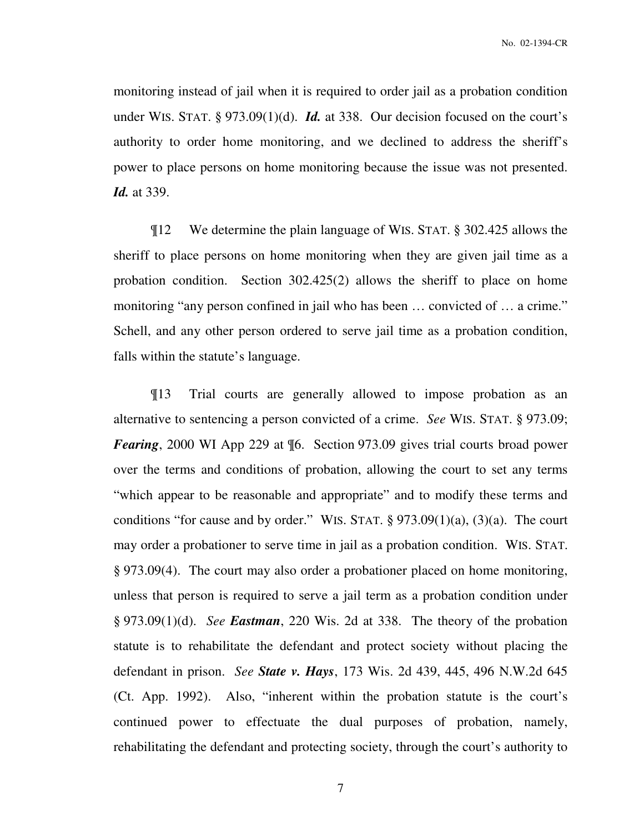monitoring instead of jail when it is required to order jail as a probation condition under WIS. STAT. § 973.09(1)(d). *Id.* at 338. Our decision focused on the court's authority to order home monitoring, and we declined to address the sheriff's power to place persons on home monitoring because the issue was not presented. *Id.* at 339.

¶12 We determine the plain language of WIS. STAT. § 302.425 allows the sheriff to place persons on home monitoring when they are given jail time as a probation condition. Section 302.425(2) allows the sheriff to place on home monitoring "any person confined in jail who has been … convicted of … a crime." Schell, and any other person ordered to serve jail time as a probation condition, falls within the statute's language.

¶13 Trial courts are generally allowed to impose probation as an alternative to sentencing a person convicted of a crime. *See* WIS. STAT. § 973.09; *Fearing*, 2000 WI App 229 at  $\mathcal{L}$ 6. Section 973.09 gives trial courts broad power over the terms and conditions of probation, allowing the court to set any terms "which appear to be reasonable and appropriate" and to modify these terms and conditions "for cause and by order." WIS. STAT.  $\S 973.09(1)(a)$ ,  $(3)(a)$ . The court may order a probationer to serve time in jail as a probation condition. WIS. STAT. § 973.09(4). The court may also order a probationer placed on home monitoring, unless that person is required to serve a jail term as a probation condition under § 973.09(1)(d). *See Eastman*, 220 Wis. 2d at 338. The theory of the probation statute is to rehabilitate the defendant and protect society without placing the defendant in prison. *See State v. Hays*, 173 Wis. 2d 439, 445, 496 N.W.2d 645 (Ct. App. 1992). Also, "inherent within the probation statute is the court's continued power to effectuate the dual purposes of probation, namely, rehabilitating the defendant and protecting society, through the court's authority to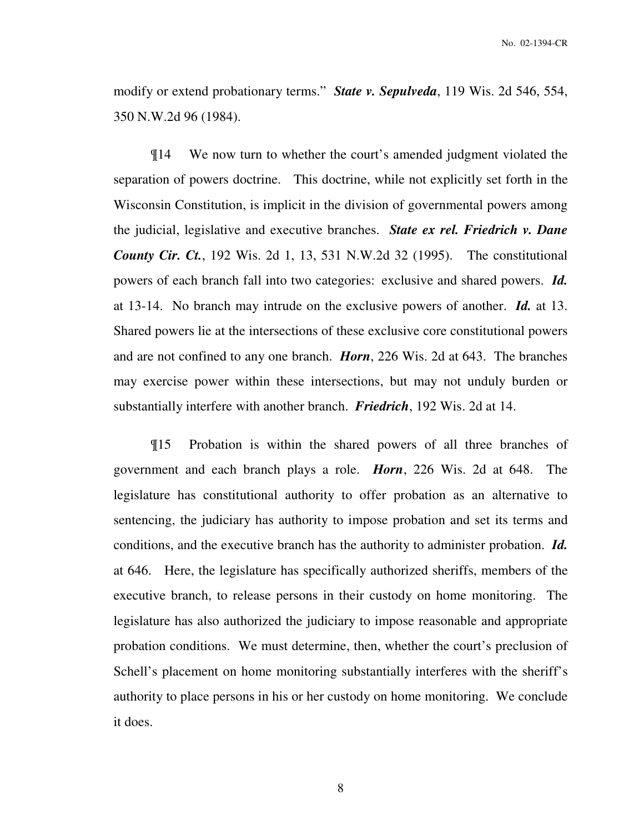modify or extend probationary terms." *State v. Sepulveda*, 119 Wis. 2d 546, 554, 350 N.W.2d 96 (1984).

¶14 We now turn to whether the court's amended judgment violated the separation of powers doctrine. This doctrine, while not explicitly set forth in the Wisconsin Constitution, is implicit in the division of governmental powers among the judicial, legislative and executive branches. *State ex rel. Friedrich v. Dane County Cir. Ct.*, 192 Wis. 2d 1, 13, 531 N.W.2d 32 (1995). The constitutional powers of each branch fall into two categories: exclusive and shared powers. *Id.* at 13-14. No branch may intrude on the exclusive powers of another. *Id.* at 13. Shared powers lie at the intersections of these exclusive core constitutional powers and are not confined to any one branch. *Horn*, 226 Wis. 2d at 643. The branches may exercise power within these intersections, but may not unduly burden or substantially interfere with another branch. *Friedrich*, 192 Wis. 2d at 14.

¶15 Probation is within the shared powers of all three branches of government and each branch plays a role. *Horn*, 226 Wis. 2d at 648. The legislature has constitutional authority to offer probation as an alternative to sentencing, the judiciary has authority to impose probation and set its terms and conditions, and the executive branch has the authority to administer probation. *Id.* at 646. Here, the legislature has specifically authorized sheriffs, members of the executive branch, to release persons in their custody on home monitoring. The legislature has also authorized the judiciary to impose reasonable and appropriate probation conditions. We must determine, then, whether the court's preclusion of Schell's placement on home monitoring substantially interferes with the sheriff's authority to place persons in his or her custody on home monitoring. We conclude it does.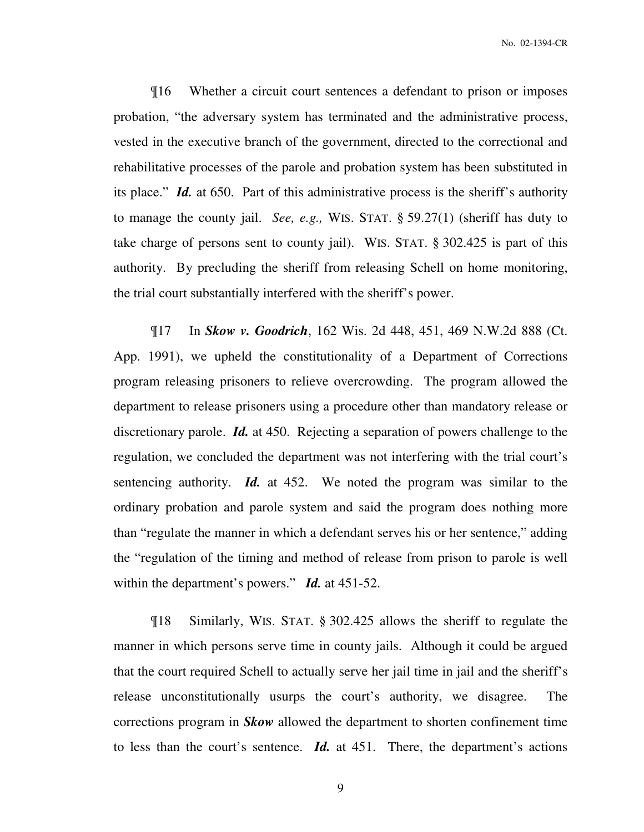¶16 Whether a circuit court sentences a defendant to prison or imposes probation, "the adversary system has terminated and the administrative process, vested in the executive branch of the government, directed to the correctional and rehabilitative processes of the parole and probation system has been substituted in its place." *Id.* at 650. Part of this administrative process is the sheriff's authority to manage the county jail. *See, e.g.,* WIS. STAT. § 59.27(1) (sheriff has duty to take charge of persons sent to county jail). WIS. STAT. § 302.425 is part of this authority. By precluding the sheriff from releasing Schell on home monitoring, the trial court substantially interfered with the sheriff's power.

¶17 In *Skow v. Goodrich*, 162 Wis. 2d 448, 451, 469 N.W.2d 888 (Ct. App. 1991), we upheld the constitutionality of a Department of Corrections program releasing prisoners to relieve overcrowding. The program allowed the department to release prisoners using a procedure other than mandatory release or discretionary parole. *Id.* at 450. Rejecting a separation of powers challenge to the regulation, we concluded the department was not interfering with the trial court's sentencing authority. *Id.* at 452. We noted the program was similar to the ordinary probation and parole system and said the program does nothing more than "regulate the manner in which a defendant serves his or her sentence," adding the "regulation of the timing and method of release from prison to parole is well within the department's powers." *Id.* at 451-52.

¶18 Similarly, WIS. STAT. § 302.425 allows the sheriff to regulate the manner in which persons serve time in county jails. Although it could be argued that the court required Schell to actually serve her jail time in jail and the sheriff's release unconstitutionally usurps the court's authority, we disagree. The corrections program in *Skow* allowed the department to shorten confinement time to less than the court's sentence. *Id.* at 451. There, the department's actions